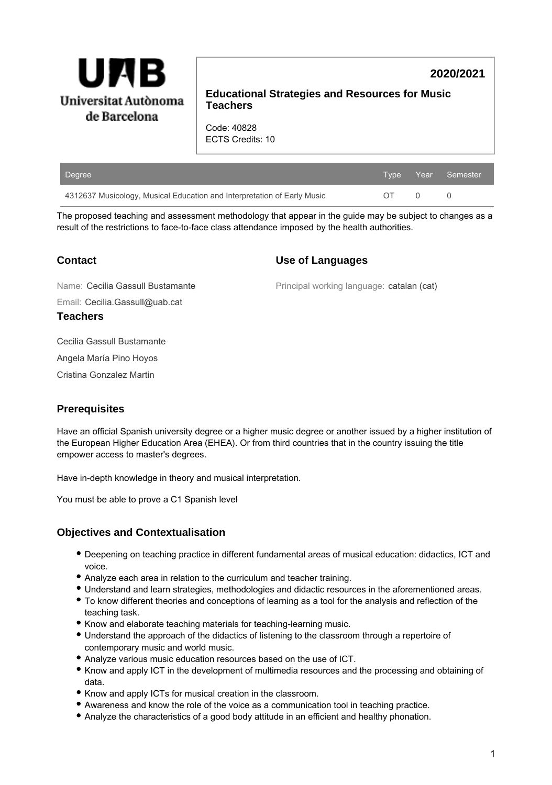

# **2020/2021**

### **Educational Strategies and Resources for Music Teachers**

Code: 40828 ECTS Credits: 10

| Degree                                                                  |          | ا Type Year Semester ا |
|-------------------------------------------------------------------------|----------|------------------------|
| 4312637 Musicology, Musical Education and Interpretation of Early Music | $\Omega$ |                        |

The proposed teaching and assessment methodology that appear in the guide may be subject to changes as a result of the restrictions to face-to-face class attendance imposed by the health authorities.

# **Contact**

## **Use of Languages**

Principal working language: catalan (cat)

Email: Cecilia.Gassull@uab.cat Name: Cecilia Gassull Bustamante **Teachers**

Cecilia Gassull Bustamante

Angela María Pino Hoyos

Cristina Gonzalez Martin

# **Prerequisites**

Have an official Spanish university degree or a higher music degree or another issued by a higher institution of the European Higher Education Area (EHEA). Or from third countries that in the country issuing the title empower access to master's degrees.

Have in-depth knowledge in theory and musical interpretation.

You must be able to prove a C1 Spanish level

# **Objectives and Contextualisation**

- Deepening on teaching practice in different fundamental areas of musical education: didactics, ICT and voice.
- Analyze each area in relation to the curriculum and teacher training.
- Understand and learn strategies, methodologies and didactic resources in the aforementioned areas.
- To know different theories and conceptions of learning as a tool for the analysis and reflection of the teaching task.
- Know and elaborate teaching materials for teaching-learning music.
- Understand the approach of the didactics of listening to the classroom through a repertoire of contemporary music and world music.
- Analyze various music education resources based on the use of ICT.
- Know and apply ICT in the development of multimedia resources and the processing and obtaining of data.
- Know and apply ICTs for musical creation in the classroom.
- Awareness and know the role of the voice as a communication tool in teaching practice.
- Analyze the characteristics of a good body attitude in an efficient and healthy phonation.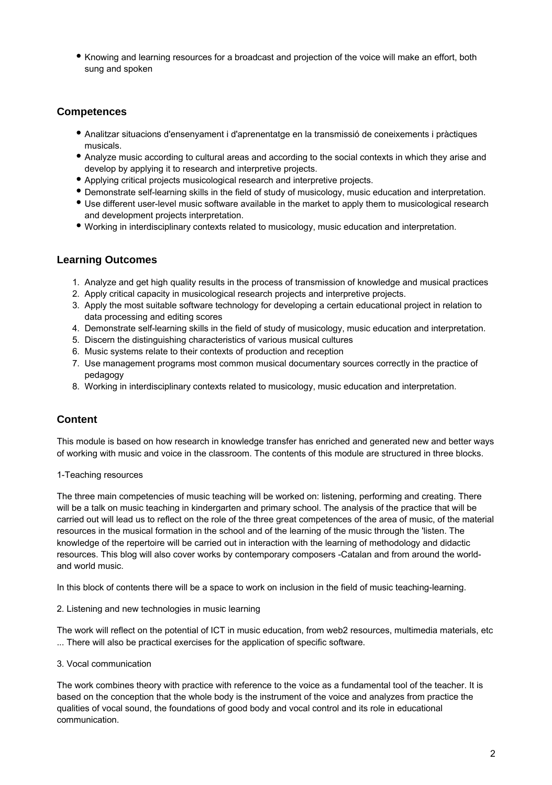• Knowing and learning resources for a broadcast and projection of the voice will make an effort, both sung and spoken

## **Competences**

- Analitzar situacions d'ensenyament i d'aprenentatge en la transmissió de coneixements i pràctiques musicals.
- Analyze music according to cultural areas and according to the social contexts in which they arise and develop by applying it to research and interpretive projects.
- Applying critical projects musicological research and interpretive projects.
- Demonstrate self-learning skills in the field of study of musicology, music education and interpretation.
- Use different user-level music software available in the market to apply them to musicological research and development projects interpretation.
- Working in interdisciplinary contexts related to musicology, music education and interpretation.

### **Learning Outcomes**

- 1. Analyze and get high quality results in the process of transmission of knowledge and musical practices
- 2. Apply critical capacity in musicological research projects and interpretive projects.
- 3. Apply the most suitable software technology for developing a certain educational project in relation to data processing and editing scores
- 4. Demonstrate self-learning skills in the field of study of musicology, music education and interpretation.
- 5. Discern the distinguishing characteristics of various musical cultures
- 6. Music systems relate to their contexts of production and reception
- 7. Use management programs most common musical documentary sources correctly in the practice of pedagogy
- 8. Working in interdisciplinary contexts related to musicology, music education and interpretation.

# **Content**

This module is based on how research in knowledge transfer has enriched and generated new and better ways of working with music and voice in the classroom. The contents of this module are structured in three blocks.

#### 1-Teaching resources

The three main competencies of music teaching will be worked on: listening, performing and creating. There will be a talk on music teaching in kindergarten and primary school. The analysis of the practice that will be carried out will lead us to reflect on the role of the three great competences of the area of music, of the material resources in the musical formation in the school and of the learning of the music through the 'listen. The knowledge of the repertoire will be carried out in interaction with the learning of methodology and didactic resources. This blog will also cover works by contemporary composers -Catalan and from around the worldand world music.

In this block of contents there will be a space to work on inclusion in the field of music teaching-learning.

2. Listening and new technologies in music learning

The work will reflect on the potential of ICT in music education, from web2 resources, multimedia materials, etc ... There will also be practical exercises for the application of specific software.

#### 3. Vocal communication

The work combines theory with practice with reference to the voice as a fundamental tool of the teacher. It is based on the conception that the whole body is the instrument of the voice and analyzes from practice the qualities of vocal sound, the foundations of good body and vocal control and its role in educational communication.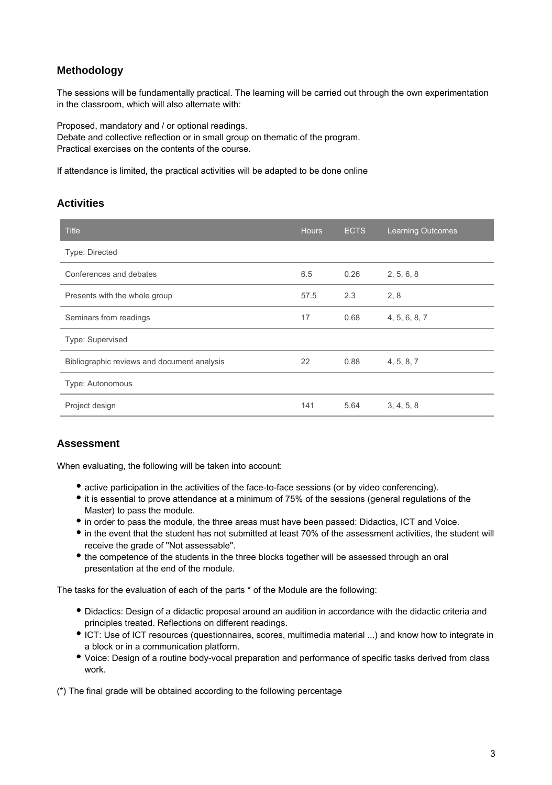# **Methodology**

The sessions will be fundamentally practical. The learning will be carried out through the own experimentation in the classroom, which will also alternate with:

Proposed, mandatory and / or optional readings. Debate and collective reflection or in small group on thematic of the program. Practical exercises on the contents of the course.

If attendance is limited, the practical activities will be adapted to be done online

## **Activities**

| <b>Title</b>                                | <b>Hours</b> | <b>ECTS</b> | <b>Learning Outcomes</b> |
|---------------------------------------------|--------------|-------------|--------------------------|
| Type: Directed                              |              |             |                          |
| Conferences and debates                     | 6.5          | 0.26        | 2, 5, 6, 8               |
| Presents with the whole group               | 57.5         | 2.3         | 2, 8                     |
| Seminars from readings                      | 17           | 0.68        | 4, 5, 6, 8, 7            |
| Type: Supervised                            |              |             |                          |
| Bibliographic reviews and document analysis | 22           | 0.88        | 4, 5, 8, 7               |
| Type: Autonomous                            |              |             |                          |
| Project design                              | 141          | 5.64        | 3, 4, 5, 8               |

### **Assessment**

When evaluating, the following will be taken into account:

- active participation in the activities of the face-to-face sessions (or by video conferencing).
- it is essential to prove attendance at a minimum of 75% of the sessions (general regulations of the Master) to pass the module.
- in order to pass the module, the three areas must have been passed: Didactics, ICT and Voice.
- in the event that the student has not submitted at least 70% of the assessment activities, the student will receive the grade of "Not assessable".
- the competence of the students in the three blocks together will be assessed through an oral presentation at the end of the module.

The tasks for the evaluation of each of the parts \* of the Module are the following:

- Didactics: Design of a didactic proposal around an audition in accordance with the didactic criteria and principles treated. Reflections on different readings.
- ICT: Use of ICT resources (questionnaires, scores, multimedia material ...) and know how to integrate in a block or in a communication platform.
- Voice: Design of a routine body-vocal preparation and performance of specific tasks derived from class work.

(\*) The final grade will be obtained according to the following percentage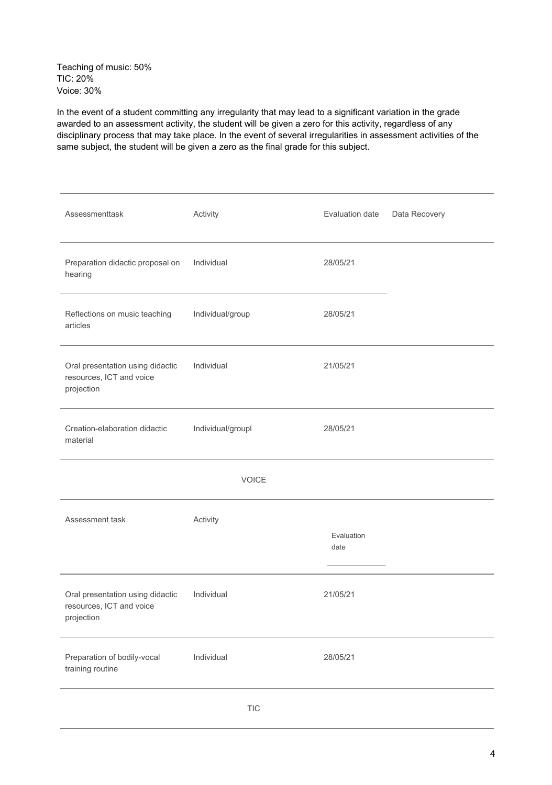Teaching of music: 50% TIC: 20% Voice: 30%

In the event of a student committing any irregularity that may lead to a significant variation in the grade awarded to an assessment activity, the student will be given a zero for this activity, regardless of any disciplinary process that may take place. In the event of several irregularities in assessment activities of the same subject, the student will be given a zero as the final grade for this subject.

| Assessmenttask                                                             | Activity                                          | Evaluation date    | Data Recovery |  |
|----------------------------------------------------------------------------|---------------------------------------------------|--------------------|---------------|--|
| Preparation didactic proposal on<br>hearing                                | Individual                                        | 28/05/21           |               |  |
| Reflections on music teaching<br>articles                                  | Individual/group                                  | 28/05/21           |               |  |
| Oral presentation using didactic<br>resources, ICT and voice<br>projection | Individual                                        | 21/05/21           |               |  |
| Creation-elaboration didactic<br>material                                  | Individual/groupl                                 | 28/05/21           |               |  |
| <b>VOICE</b>                                                               |                                                   |                    |               |  |
| Assessment task                                                            | Activity                                          | Evaluation<br>date |               |  |
| Oral presentation using didactic<br>resources, ICT and voice<br>projection | Individual                                        | 21/05/21           |               |  |
| Preparation of bodily-vocal<br>training routine                            | Individual                                        | 28/05/21           |               |  |
|                                                                            | $\ensuremath{\mathsf{T}}\ensuremath{\mathsf{IC}}$ |                    |               |  |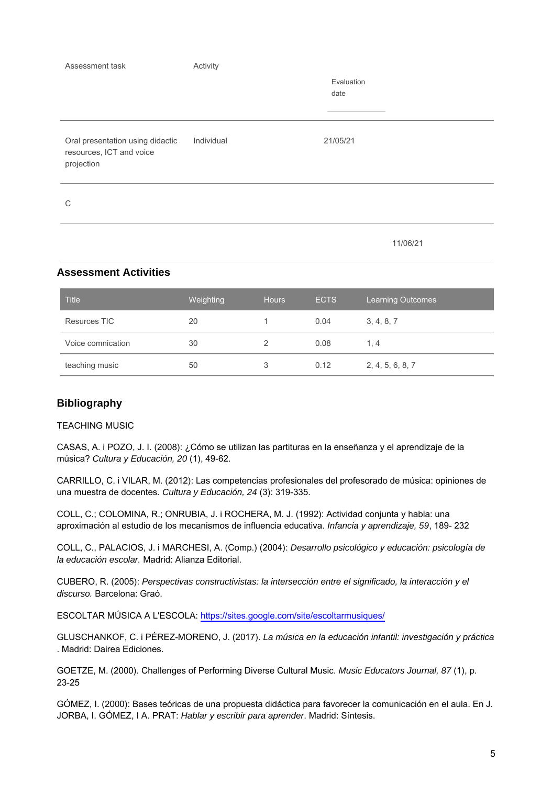| Assessment task                                                            | Activity   | Evaluation |
|----------------------------------------------------------------------------|------------|------------|
|                                                                            |            | date       |
|                                                                            |            |            |
|                                                                            |            |            |
| Oral presentation using didactic<br>resources, ICT and voice<br>projection | Individual | 21/05/21   |
| C                                                                          |            |            |
|                                                                            |            | 11/06/21   |

### **Assessment Activities**

| <b>Title</b>      | Weighting | <b>Hours</b> | <b>ECTS</b> | <b>Learning Outcomes</b> |
|-------------------|-----------|--------------|-------------|--------------------------|
| Resurces TIC      | 20        |              | 0.04        | 3, 4, 8, 7               |
| Voice comnication | 30        |              | 0.08        | 1.4                      |
| teaching music    | 50        | 3            | 0.12        | 2, 4, 5, 6, 8, 7         |

### **Bibliography**

### TEACHING MUSIC

CASAS, A. i POZO, J. I. (2008): ¿Cómo se utilizan las partituras en la enseñanza y el aprendizaje de la música? Cultura y Educación, 20 (1), 49-62.

CARRILLO, C. i VILAR, M. (2012): Las competencias profesionales del profesorado de música: opiniones de una muestra de docentes. Cultura y Educación, 24 (3): 319-335.

COLL, C.; COLOMINA, R.; ONRUBIA, J. i ROCHERA, M. J. (1992): Actividad conjunta y habla: una aproximación al estudio de los mecanismos de influencia educativa. Infancia y aprendizaje, 59, 189- 232

COLL, C., PALACIOS, J. i MARCHESI, A. (Comp.) (2004): Desarrollo psicológico y educación: psicología de la educación escolar. Madrid: Alianza Editorial.

CUBERO, R. (2005): Perspectivas constructivistas: la intersección entre el significado, la interacción y el discurso. Barcelona: Graó.

ESCOLTAR MÚSICA A L'ESCOLA: <https://sites.google.com/site/escoltarmusiques/>

GLUSCHANKOF, C. i PÉREZ-MORENO, J. (2017). La música en la educación infantil: investigación y práctica . Madrid: Dairea Ediciones.

GOETZE, M. (2000). Challenges of Performing Diverse Cultural Music. Music Educators Journal, 87 (1), p. 23-25

GÓMEZ, I. (2000): Bases teóricas de una propuesta didáctica para favorecer la comunicación en el aula. En J. JORBA, I. GÓMEZ, I A. PRAT: Hablar y escribir para aprender. Madrid: Síntesis.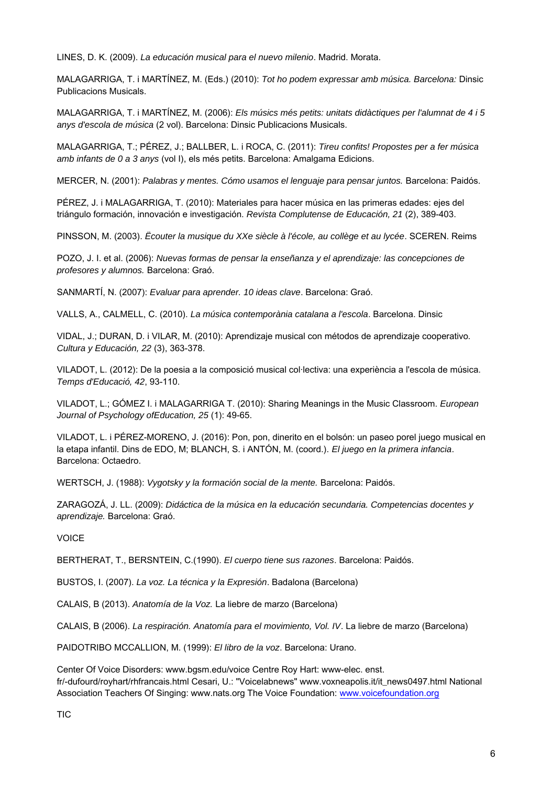LINES, D. K. (2009). La educación musical para el nuevo milenio. Madrid. Morata.

MALAGARRIGA, T. i MARTÍNEZ, M. (Eds.) (2010): Tot ho podem expressar amb música. Barcelona: Dinsic Publicacions Musicals.

MALAGARRIGA, T. i MARTÍNEZ, M. (2006): Els músics més petits: unitats didàctiques per l'alumnat de 4 i 5 anys d'escola de música (2 vol). Barcelona: Dinsic Publicacions Musicals.

MALAGARRIGA, T.; PÉREZ, J.; BALLBER, L. i ROCA, C. (2011): Tireu confits! Propostes per a fer música amb infants de 0 a 3 anys (vol I), els més petits. Barcelona: Amalgama Edicions.

MERCER, N. (2001): Palabras y mentes. Cómo usamos el lenguaje para pensar juntos. Barcelona: Paidós.

PÉREZ, J. i MALAGARRIGA, T. (2010): Materiales para hacer música en las primeras edades: ejes del triángulo formación, innovación e investigación. Revista Complutense de Educación, 21 (2), 389-403.

PINSSON, M. (2003). Écouter la musique du XXe siècle à l'école, au collège et au lycée. SCEREN. Reims

POZO, J. I. et al. (2006): Nuevas formas de pensar la enseñanza y el aprendizaje: las concepciones de profesores y alumnos. Barcelona: Graó.

SANMARTÍ, N. (2007): Evaluar para aprender. 10 ideas clave. Barcelona: Graó.

VALLS, A., CALMELL, C. (2010). La música contemporània catalana a l'escola. Barcelona. Dinsic

VIDAL, J.; DURAN, D. i VILAR, M. (2010): Aprendizaje musical con métodos de aprendizaje cooperativo. Cultura y Educación, 22 (3), 363-378.

VILADOT, L. (2012): De la poesia a la composició musical col·lectiva: una experiència a l'escola de música. Temps d'Educació, 42, 93-110.

VILADOT, L.; GÓMEZ I. i MALAGARRIGA T. (2010): Sharing Meanings in the Music Classroom. European Journal of Psychology ofEducation, 25 (1): 49-65.

VILADOT, L. i PÉREZ-MORENO, J. (2016): Pon, pon, dinerito en el bolsón: un paseo porel juego musical en la etapa infantil. Dins de EDO, M; BLANCH, S. i ANTÓN, M. (coord.). El juego en la primera infancia. Barcelona: Octaedro.

WERTSCH, J. (1988): Vygotsky y la formación social de la mente. Barcelona: Paidós.

ZARAGOZÁ, J. LL. (2009): Didáctica de la música en la educación secundaria. Competencias docentes y aprendizaje. Barcelona: Graó.

VOICE

BERTHERAT, T., BERSNTEIN, C.(1990). El cuerpo tiene sus razones. Barcelona: Paidós.

BUSTOS, I. (2007). La voz. La técnica y la Expresión. Badalona (Barcelona)

CALAIS, B (2013). Anatomía de la Voz. La liebre de marzo (Barcelona)

CALAIS, B (2006). La respiración. Anatomía para el movimiento, Vol. IV. La liebre de marzo (Barcelona)

PAIDOTRIBO MCCALLION, M. (1999): El libro de la voz. Barcelona: Urano.

Center Of Voice Disorders: www.bgsm.edu/voice Centre Roy Hart: www-elec. enst. fr/-dufourd/royhart/rhfrancais.html Cesari, U.: "Voicelabnews" www.voxneapolis.it/it\_news0497.html National Association Teachers Of Singing: www.nats.org The Voice Foundation: [www.voicefoundation.org](http://www.voicefoundation.org/)

**TIC**